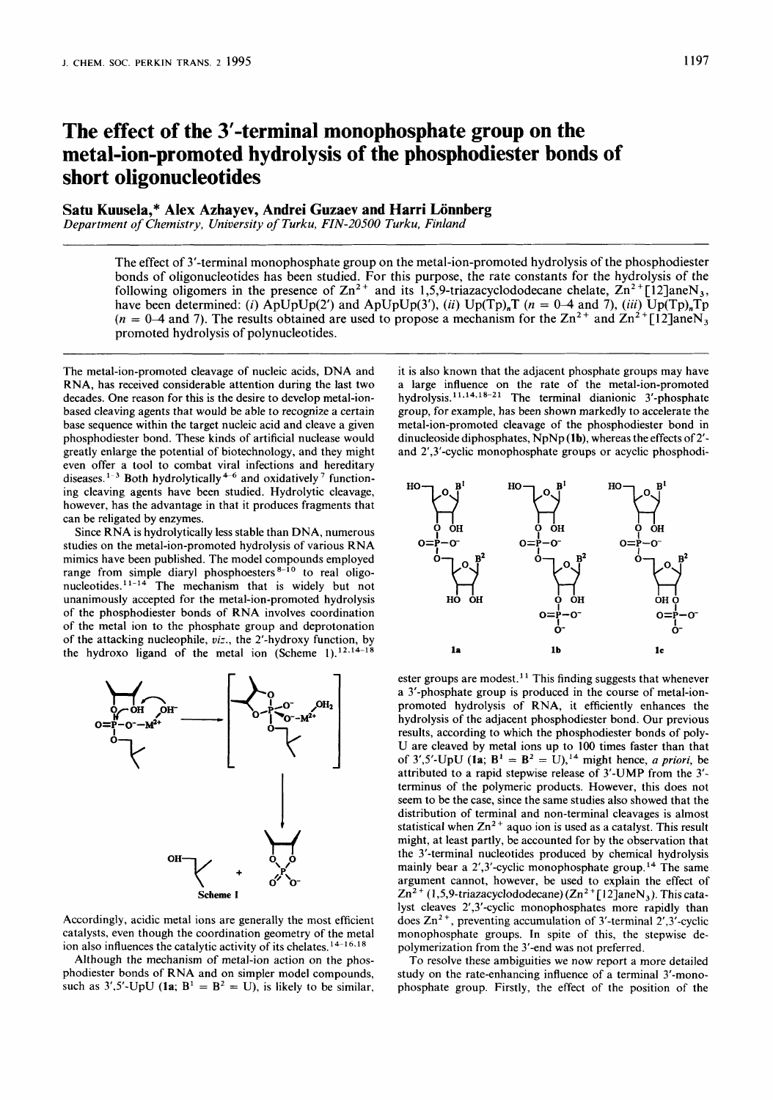# The effect of the 3'-terminal monophosphate group on the **metal-ion-promoted hydrolysis of the phosphodiester bonds of short oligonucleotides**

## **Satu Kuusela,\* Alex Azhayev, Andrei Guzaev and Harri Lonnberg**

*Department of Chemistry, University of Turku, FIN-20500 Turku, Finland* 

The effect of 3'-terminal monophosphate group on the metal-ion-promoted hydrolysis of the phosphodiester bonds of oligonucleotides has been studied. For this purpose, the rate constants for the hydrolysis of the following oligomers in the presence of  $\text{Zn}^{2+}$  and its 1,5,9-triazacyclododecane chelate,  $\text{Zn}^{2+}$ [12]aneN<sub>3</sub>, have been determined: *(i)*  $\text{ApUpUp}(2')$  and  $\text{ApUpUp}(3')$ , *(ii)*  $\text{Up}(Tp)_nT$  *(n = 0-4 and 7)*, *(iii)*  $\text{Up}(Tp)_nTp$  $(n = 0-4$  and 7). The results obtained are used to propose a mechanism for the  $\text{Zn}^2$ <sup>+</sup> and  $\text{Zn}^2$ <sup>+</sup>[12]aneN<sub>3</sub> promoted hydrolysis of polynucleotides.

The metal-ion-promoted cleavage of nucleic acids, DNA and RNA, has received considerable attention during the last two decades. One reason for this is the desire to develop metal-ionbased cleaving agents that would be able to recognize a certain base sequence within the target nucleic acid and cleave a given phosphodiester bond. These kinds of artificial nuclease would greatly enlarge the potential of biotechnology, and they might even offer a tool to combat viral infections and hereditary diseases.<sup>1-3</sup> Both hydrolytically<sup>4-6</sup> and oxidatively<sup>7</sup> functioning cleaving agents have been studied. Hydrolytic cleavage, however, has the advantage in that it produces fragments that can be religated by enzymes.

Since RNA is hydrolytically less stable than DNA, numerous studies on the metal-ion-promoted hydrolysis of various RNA mimics have been published. The model compounds employed range from simple diaryl phosphoesters  $8-10$  to real oligonucleotides.<sup>11-14</sup> The mechanism that is widely but not unanimously accepted for the metal-ion-promoted hydrolysis of the phosphodiester bonds of RNA involves coordination of the metal ion to the phosphate group and deprotonation of the attacking nucleophile, *uiz.,* the 2'-hydroxy function, by the hydroxo ligand of the metal ion (Scheme 1).<sup>12,14-18</sup>



Accordingly, acidic metal ions are generally the most efficient catalysts, even though the coordination geometry of the metal ion also influences the catalytic activity of its chelates.<sup>14-16,18</sup>

Although the mechanism of metal-ion action on the phosphodiester bonds of RNA and on simpler model compounds, such as  $3'$ ,5'-UpU (1a;  $B^1 = B^2 = U$ ), is likely to be similar, it is also known that the adjacent phosphate groups may have a large influence on the rate of the metal-ion-promoted hydrolysis.<sup>11,14,18-21</sup> The terminal dianionic 3'-phosphate group, for example, has been shown markedly to accelerate the metal-ion-promoted cleavage of the phosphodiester bond in dinucleoside diphosphates, NpNp (1b), whereas the effects of 2'and 2',3'-cyclic monophosphate groups or acyclic phosphodi-



ester groups are modest.<sup>11</sup> This finding suggests that whenever a 3'-phosphate group is produced in the course of metal-ionpromoted hydrolysis of RNA, **it** efficiently enhances the hydrolysis of the adjacent phosphodiester bond. Our previous results, according to which the phosphodiester bonds of poly-U are cleaved by metal ions up to 100 times faster than that of 3',5'-UpU ( $\mathbf{la} \cdot \mathbf{B}^1 = \mathbf{B}^2 = 0$ ),<sup>14</sup> might hence, *a priori*, be attributed to a rapid stepwise release of 3'-UMP from the 3' terminus of the polymeric products. However, this does not seem to be the case, since the same studies also showed that the distribution of terminal and non-terminal cleavages is almost statistical when  $Zn^{2+}$  aquo ion is used as a catalyst. This result might, at least partly, be accounted for by the observation that the 3'-terminal nucleotides produced by chemical hydrolysis mainly bear a  $2^{\prime}$ , 3'-cyclic monophosphate group.<sup>14</sup> The same argument cannot, however, be used to explain the effect of Zn2 + **(1,5,9-triazacyclododecane) (Zn2** +[12]aneN,). This catalyst cleaves 2',3'-cyclic monophosphates more rapidly than does  $\text{Zn}^2$ <sup>+</sup>, preventing accumulation of 3'-terminal 2',3'-cyclic monophosphate groups. In spite of this, the stepwise depolymerization from the 3'-end was not preferred.

To resolve these ambiguities we now report a more detailed study on the rate-enhancing influence of a terminal 3'-monophosphate group. Firstly, the effect of the position of the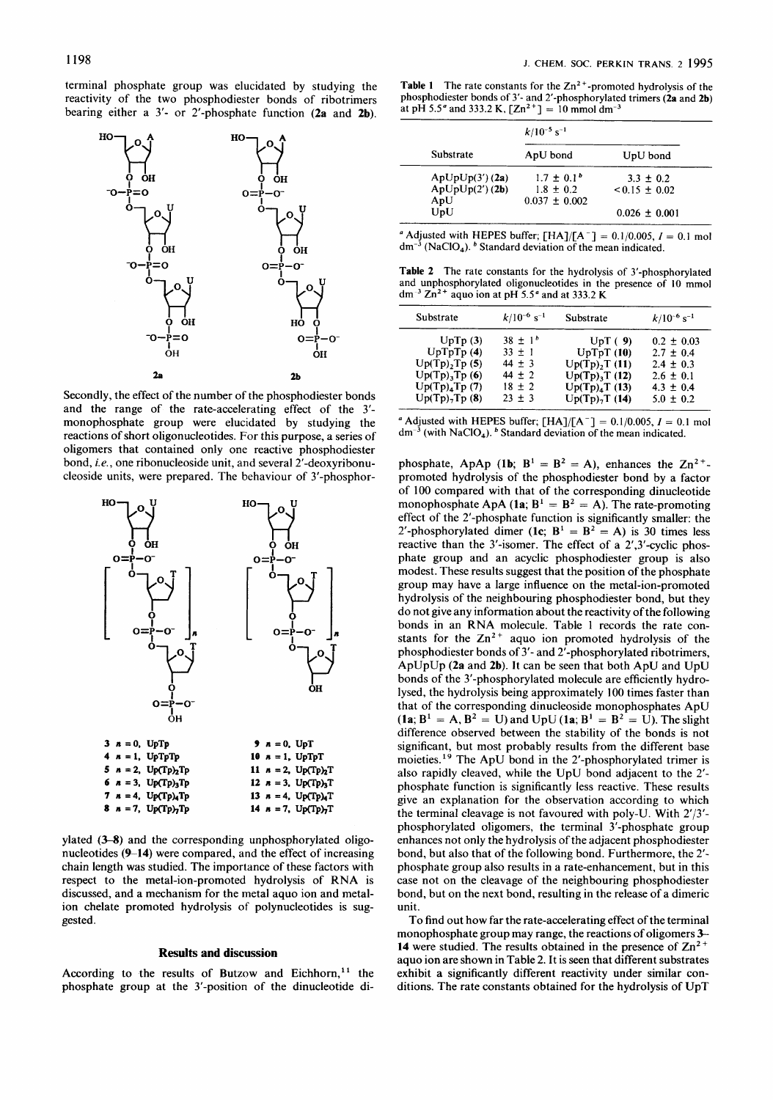terminal phosphate group was elucidated by studying the reactivity of the two phosphodiester bonds of ribotrimers bearing either a 3'- or 2'-phosphate function **(2a** and **2b).** 



Secondly, the effect of the number of the phosphodiester bonds and the range of the rate-accelerating effect of the 3' monophosphate group were elucidated by studying the reactions of short oligonucleotides. For this purpose, a series of oligomers that contained only one reactive phosphodiester bond, *i. e.,* one ribonucleoside unit, and several 2'-deoxyribonucleoside units, were prepared. The behaviour of 3'-phosphor-



ylated *(3-8)* and the corresponding unphosphorylated oligonucleotides **(9-14)** were compared, and the effect of increasing chain length was studied. The importance of these factors with respect to the metal-ion-promoted hydrolysis of RNA is discussed, and a mechanism for the metal aquo ion and metalion chelate promoted hydrolysis of polynucleotides is suggested.

#### **Results and discussion**

According to the results of Butzow and Eichhorn,<sup>11</sup> the phosphate group at the 3'-position of the dinucleotide di-

**Table 1** The rate constants for the  $Zn^2$ <sup>+</sup>-promoted hydrolysis of the phosphodiester bonds of 3'- and 2'-phosphorylated trimers **(2a** and **2b)** at pH 5.5" and 333.2 K,  $[Zn^{2+}] = 10$  mmol dm<sup>-3</sup>

| Substrate       | $k/10^{-5}$ s <sup>-1</sup> |                   |  |
|-----------------|-----------------------------|-------------------|--|
|                 | ApU bond                    | UpU bond          |  |
| ApUpUp(3') (2a) | $1.7 \pm 0.1^b$             | $3.3 \pm 0.2$     |  |
| ApUpUp(2') (2b) | $1.8 \pm 0.2$               | $< 0.15 + 0.02$   |  |
| ApU             | $0.037 \pm 0.002$           |                   |  |
| UpU             |                             | $0.026 \pm 0.001$ |  |

 $^a$  Adjusted with HEPES buffer; [HA]/[A<sup>-</sup>] = 0.1/0.005,  $I = 0.1$  mol  $dm^{-3}$  (NaClO<sub>4</sub>). <sup>b</sup> Standard deviation of the mean indicated.

**Table 2** The rate constants for the hydrolysis of 3'-phosphorylated and unphosphorylated oligonucleotides in the presence of **10** mmol dm-3 Zn2+ aquo ion at pH *5.5"* and at 333.2 K

| Substrate          | $k/10^{-6}$ s <sup>-1</sup> | Substrate                 | $k/10^{-6}$ s <sup>-1</sup> |
|--------------------|-----------------------------|---------------------------|-----------------------------|
| UpTp(3)            | $38 \pm 1^{b}$              | UpT(9)                    | $0.2 \pm 0.03$              |
| UpTpTp(4)          | $33 + 1$                    | UpTpT(10)                 | $2.7 \pm 0.4$               |
| Up(Tp), Tp(5)      | $44 + 3$                    | Up(Tp), T(11)             | $2.4 \pm 0.3$               |
| $Up(Tp)$ , $Tp(6)$ | $44 \pm 2$                  | Up(Tp), T(12)             | $2.6 \pm 0.1$               |
| $Up(Tp)_4Tp(7)$    | $18 \pm 2$                  | Up(Tp) <sub>4</sub> T(13) | $4.3 \pm 0.4$               |
| Up(Tp), Tp(8)      | $23 \pm 3$                  | Up(Tp), T(14)             | $5.0 \pm 0.2$               |

" Adjusted with HEPES buffer;  $[HA]/[A^-] = 0.1/0.005$ ,  $I = 0.1$  mol  $dm^{-3}$  (with NaClO<sub>4</sub>). <sup>b</sup> Standard deviation of the mean indicated.

phosphate, ApAp  $(1b; B^1 = B^2 = A)$ , enhances the  $Zn^{2+}$ promoted hydrolysis of the phosphodiester bond by a factor of 100 compared with that of the corresponding dinucleotide monophosphate ApA  $(\textbf{1a}; \textbf{B}^1 = \textbf{B}^2 = \textbf{A})$ . The rate-promoting effect of the 2'-phosphate function is significantly smaller: the 2'-phosphorylated dimer  $(\textbf{1c}; \textbf{B}^1 = \textbf{B}^2 = \textbf{A})$  is 30 times less reactive than the 3'-isomer. The effect of a 2',3'-cyclic phosphate group and an acyclic phosphodiester group is also modest. These results suggest that the position of the phosphate group may have a large influence on the metal-ion-promoted hydrolysis of the neighbouring phosphodiester bond, but they do not give any information about the reactivity of the following bonds in an RNA molecule. Table 1 records the rate constants for the  $Zn^{2+}$  aquo ion promoted hydrolysis of the phosphodiester bonds of 3'- and 2'-phosphorylated ribotrimers, ApUpUp **(2a** and **2b).** It can be seen that both ApU and UpU bonds of the 3'-phosphorylated molecule are efficiently hydrolysed, the hydrolysis being approximately **I00** times faster than that of the corresponding dinucleoside monophosphates ApU **(1a;**  $B^1 = A$ ,  $B^2 = U$ ) and  $UpU(1a; B^1 = B^2 = U)$ . The slight difference observed between the stability of the bonds is not significant, but most probably results from the different base moieties.<sup>19</sup> The ApU bond in the 2'-phosphorylated trimer is also rapidly cleaved, while the UpU bond adjacent to the 2' phosphate function is significantly less reactive. These results give an explanation for the observation according to which the terminal cleavage is not favoured with poly-U. With 2'/3' phosphorylated oligomers, the terminal 3'-phosphate group enhances not only the hydrolysis of the adjacent phosphodiester bond, but also that of the following bond. Furthermore, the 2' phosphate group also results in a rate-enhancement, but in this case not on the cleavage of the neighbouring phosphodiester bond, but on the next bond, resulting in the release of a dimeric unit.

To find out how far the rate-accelerating effect of the terminal monophosphate group may range, the reactions of oligomers *3-*  **14** were studied. The results obtained in the presence of  $\text{Zn}^2$  + aquo ion are shown in Table **2.** It is seen that different substrates exhibit a significantly different reactivity under similar conditions. The rate constants obtained for the hydrolysis of UpT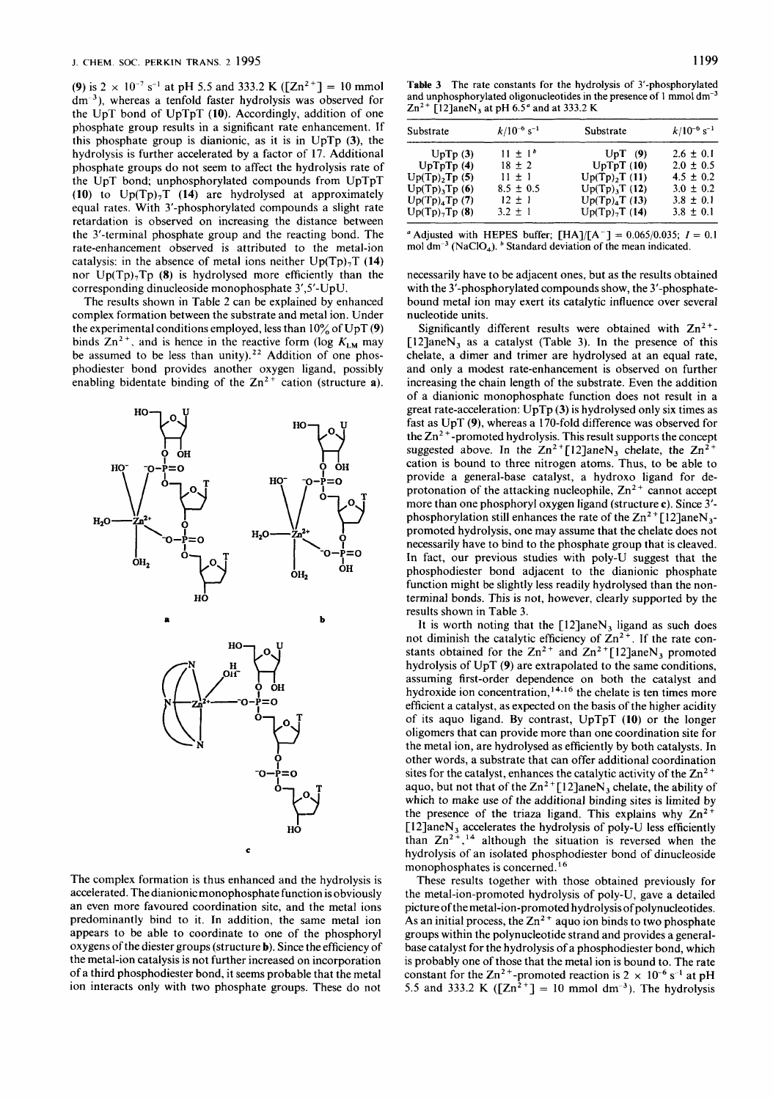**(9)** is 2  $\times$  10<sup>-7</sup> s<sup>-1</sup> at pH 5.5 and 333.2 **K** ([Zn<sup>2+</sup>] = 10 mmol dm<sup>-3</sup>), whereas a tenfold faster hydrolysis was observed for the UpT bond of UpTpT **(10).** Accordingly, addition of one phosphate group results in a significant rate enhancement. If this phosphate group is dianionic, as it is in UpTp **(3),** the hydrolysis is further accelerated by a factor of 17. Additional phosphate groups do not seem to affect the hydrolysis rate of the UpT bond; unphosphorylated compounds from UpTpT **(10)** to Up(Tp),T **(14)** are hydrolysed at approximately equal rates. With 3'-phosphorylated compounds a slight rate retardation is observed on increasing the distance between the 3'-terminal phosphate group and the reacting bond. The rate-enhancement observed is attributed to the metal-ion catalysis: in the absence of metal ions neither  $Up(Tp)_{7}T(14)$ nor Up(Tp),Tp **(8)** is hydrolysed more efficiently than the corresponding dinucleoside monophosphate 3',5'-UpU.

The results shown in Table 2 can be explained by enhanced complex formation between the substrate and metal ion. Under the experimental conditions employed, less than 10% of UpT **(9)**  binds  $Zn^{2+}$ , and is hence in the reactive form (log  $K_{LM}$  may be assumed to be less than unity).<sup>22</sup> Addition of one phosphodiester bond provides another oxygen ligand, possibly enabling bidentate binding of the  $Zn^{2+}$  cation (structure **a**).



The complex formation is thus enhanced and the hydrolysis is accelerated. The dianionic monophosphate function is obviously an even more favoured coordination site, and the metal ions predominantly bind to it. In addition, the same metal ion appears to be able to coordinate to one of the phosphoryl oxygens of the diester groups (structure **b).** Since the efficiency of the metal-ion catalysis is not further increased on incorporation of a third phosphodiester bond, it seems probable that the metal ion interacts only with two phosphate groups. These do not

**Table 3 The rate constants for the hydrolysis** of **3'-phosphorylated**  and unphosphorylated oligonucleotides in the presence of 1 mmol dm<sup>-3</sup> **Zn2+ [12]aneN, at pH** *6.5"* **and at 333.2 K** 

| Substrate                 | $k/10^{-6}$ s <sup>-1</sup> | Substrate                    | $k/10^{-6}$ s <sup>-1</sup> |
|---------------------------|-----------------------------|------------------------------|-----------------------------|
| UpTp(3)                   | $11 \pm 1^{b}$              | $UpT$ (9)                    | $2.6 \pm 0.1$               |
| UpTopTp(4)                | $18 \pm 2$                  | UpTpT(10)                    | $2.0 \pm 0.5$               |
| Up(Tp), Tp(5)             | $11 \pm 1$                  | Up(Tp), T(11)                | $4.5 \pm 0.2$               |
| Up(Tp), Tp(6)             | $8.5 \pm 0.5$               | $Up(Tp)$ <sub>3</sub> T (12) | $3.0 \pm 0.2$               |
| Up(Tp) <sub>4</sub> Tp(7) | $12 \pm 1$                  | $Up(Tp)_{4}T(13)$            | $3.8 \pm 0.1$               |
| $Up(Tp)$ -Tp $(8)$        | $3.2 \pm 1$                 | $Up(Tp)_{7}T(14)$            | $3.8 \pm 0.1$               |

<sup>*a*</sup> Adjusted with HEPES buffer;  $[HA]/[A^-] = 0.065/0.035$ ;  $I = 0.1$ mol dm<sup>-3</sup> (NaClO<sub>4</sub>). <sup>*b*</sup> Standard deviation of the mean indicated.

necessarily have to be adjacent ones, but as the results obtained with the 3'-phosphorylated compounds show, the 3'-phosphatebound metal ion may exert its catalytic influence over several nucleotide units.

Significantly different results were obtained with  $Zn^{2+}$ - $[12]$ ane $N_3$  as a catalyst (Table 3). In the presence of this chelate, a dimer and trimer are hydrolysed at an equal rate, and only a modest rate-enhancement is observed on further increasing the chain length of the substrate. Even the addition of a dianionic monophosphate function does not result in a great rate-acceleration: UpTp **(3)** is hydrolysed only six times as fast as UpT **(9),** whereas a 170-fold difference was observed for the  $Zn^2$ <sup>+</sup>-promoted hydrolysis. This result supports the concept suggested above. In the  $Zn^{2+}[12]$ ane $N_3$  chelate, the  $Zn^{2+}$ cation is bound to three nitrogen atoms. Thus, to be able to provide a general-base catalyst, a hydroxo ligand for deprotonation of the attacking nucleophile,  $Zn^{2+}$  cannot accept more than one phosphoryl oxygen ligand (structure **c).** Since 3' phosphorylation still enhances the rate of the  $\text{Zn}^2$ +[12]aneN<sub>3</sub>promoted hydrolysis, one may assume that the chelate does not necessarily have to bind to the phosphate group that is cleaved. In fact, our previous studies with poly-U suggest that the phosphodiester bond adjacent to the dianionic phosphate function might be slightly less readily hydrolysed than the nonterminal bonds. This is not, however, clearly supported by the results shown in Table 3.

It is worth noting that the  $[12]$ ane $N_3$  ligand as such does not diminish the catalytic efficiency of  $\text{Zn}^{2+}$ . If the rate constants obtained for the  $Zn^{2+}$  and  $Zn^{2+}[12]$ aneN<sub>3</sub> promoted hydrolysis of UpT **(9)** are extrapolated to the same conditions, assuming first-order dependence on both the catalyst and hydroxide ion concentration,<sup>14,16</sup> the chelate is ten times more efficient a catalyst, as expected on the basis of the higher acidity of its aquo ligand. By contrast, UpTpT **(10)** or the longer oligomers that can provide more than one coordination site for the metal ion, are hydrolysed as efficiently by both catalysts. In other words, a substrate that can offer additional coordination sites for the catalyst, enhances the catalytic activity of the  $\text{Zn}^{2+}$ aquo, but not that of the  $\text{Zn}^2$ <sup>+</sup>[12]aneN<sub>3</sub> chelate, the ability of which to make use of the additional binding sites is limited by the presence of the triaza ligand. This explains why  $Zn^{2+}$ [ $12$ ]aneN<sub>3</sub> accelerates the hydrolysis of poly-U less efficiently than  $Zn^{2+}$ ,<sup>14</sup> although the situation is reversed when the hydrolysis of an isolated phosphodiester bond of dinucleoside monophosphates is concerned.<sup>16</sup>

These results together with those obtained previously for the metal-ion-promoted hydrolysis of poly-U, gave a detailed picture of the metal-ion-promoted hydrolysis of polynucleotides. As an initial process, the  $\text{Zn}^2$ <sup>+</sup> aquo ion binds to two phosphate groups within the polynucleotide strand and provides a generalbase catalyst for the hydrolysis of a phosphodiester bond, which is probably one of those that the metal ion is bound to. The rate constant for the Zn<sup>2+</sup>-promoted reaction is  $2 \times 10^{-6}$  s<sup>-1</sup> at pH 5.5 and 333.2 K ([Zn<sup>2+</sup>] = 10 mmol dm<sup>-3</sup>). The hydrolysis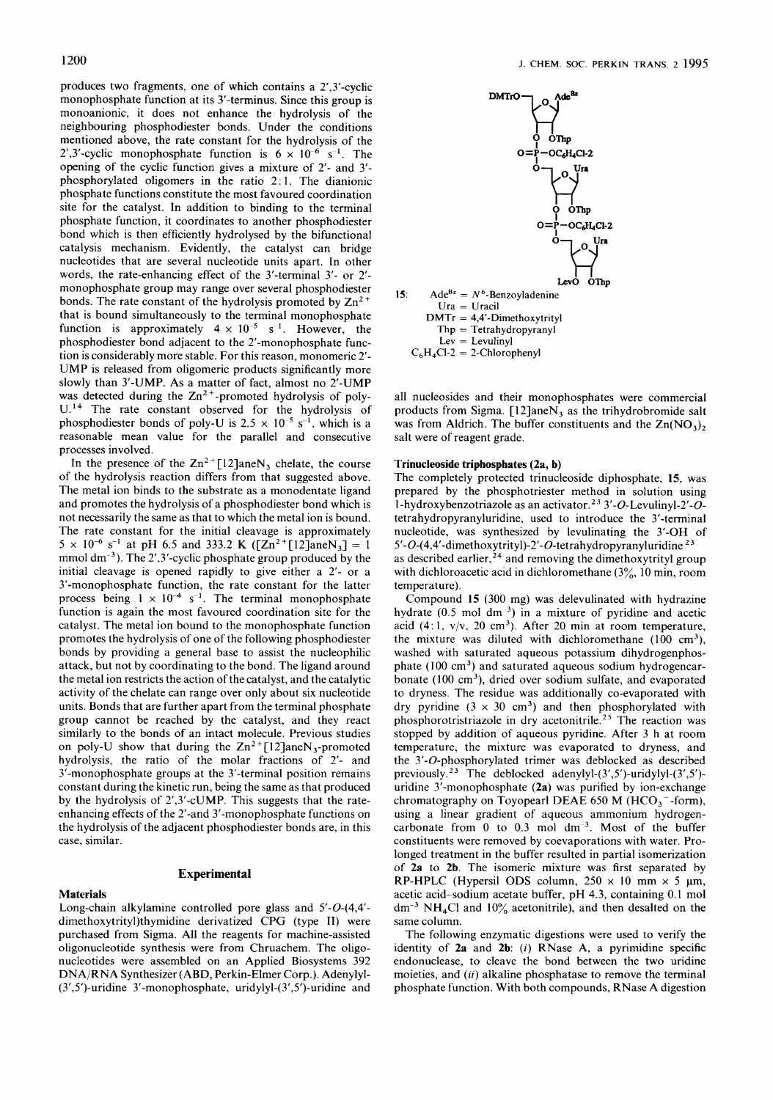produces two fragments, one of which contains a 2',3'-cyclic monophosphate function at its 3'-terminus. Since this group is monoanionic, it does not enhance the hydrolysis of the neighbouring phosphodiester bonds. Under the conditions mentioned above, the rate constant for the hydrolysis of the 2',3'-cyclic monophosphate function is  $6 \times 10^{-6}$  s<sup>-1</sup>. The opening of the cyclic function gives a mixture of 2'- and 3' phosphorylated oligomers in the ratio 2 : I. The dianionic phosphate functions constitute the most favoured coordination site for the catalyst. In addition to binding to the terminal phosphate function, it coordinates to another phosphodiester bond which is then efficiently hydrolysed by the bifunctional catalysis mechanism. Evidently, the catalyst can bridge nucleotides that are several nucleotide units apart. In other words, the rate-enhancing effect of the 3'-terminal 3'- or 2' monophosphate group may range over several phosphodiester bonds. The rate constant of the hydrolysis promoted by  $Zn^{2+}$ that is bound simultaneously to the terminal monophosphate function is approximately  $4 \times 10^{-5}$  s<sup>-1</sup>. However, the phosphodiester bond adjacent to the 2'-monophosphate function is considerably more stable. For this reason, monomeric 2'- UMP is released from oligomeric products significantly more slowly than 3'-UMP. As a matter of fact, almost no 2'-UMP was detected during the  $Zn^{2+}$ -promoted hydrolysis of poly-**U.14** The rate constant observed for the hydrolysis of phosphodiester bonds of poly-U is 2.5  $\times$  10<sup>-5</sup> s<sup>-1</sup>, which is a reasonable mean value for the parallel and consecutive processes involved.

In the presence of the  $Zn^{2+}[12]$ ane $N_3$  chelate, the course of the hydrolysis reaction differs from that suggested above. The metal ion binds to the substrate as a monodentate ligand and promotes the hydrolysis of a phosphodiester bond which is not necessarily the same as that to which the metal ion is bound. The rate constant for the initial cleavage is approximately  $5 \times 10^{-6}$  s<sup>-1</sup> at pH 6.5 and 333.2 K ([Zn<sup>2+</sup>[12]aneN<sub>3</sub>] = 1 mmol dm<sup>-3</sup>). The 2',3'-cyclic phosphate group produced by the initial cleavage is opened rapidly to give either a 2'- or a 3'-monophosphate function, the rate constant for the latter process being  $1 \times 10^{-4}$  s<sup>-1</sup>. The terminal monophosphate function is again the most favoured coordination site for the catalyst. The metal ion bound to the monophosphate function promotes the hydrolysis of one of the following phosphodiester bonds by providing a general base to assist the nucleophilic attack, but not by coordinating to the bond. The ligand around the metal ion restricts the action of the catalyst, and the catalytic activity of the chelate can range over only about six nucleotide units. Bonds that are further apart from the terminal phosphate group cannot be reached by the catalyst, and they react similarly to the bonds of an intact molecule. Previous studies on poly-U show that during the  $\text{Zn}^2$ +[12]aneN<sub>3</sub>-promoted hydrolysis, the ratio of the molar fractions of 2'- and 3'-monophosphate groups at the 3'-terminal position remains constant during the kinetic run, being the same as that produced by the hydrolysis of 2',3'-cUMP. This suggests that the rateenhancing effects of the 2'-and 3'-monophosphate functions on the hydrolysis of the adjacent phosphodiester bonds are, in this case, similar.

# **Experimental**

### **Materials**

Long-chain alkylamine controlled pore glass and 5'-0-(4,4' dimethoxytrity1)thymidine derivatized CPG (type TI) were purchased from Sigma. All the reagents for machine-assisted oligonucleotide synthesis were from Chruachem. The oligonucleotides were assembled on an Applied Biosystems 392 DNA/RNA Synthesizer (ABD, Perkin-Elmer Corp.). Adenylyl- (3', 5')-uridine 3'-monophosphate, uridylyl-( 3',5')-uridine and



all nucleosides and their monophosphates were commercial products from Sigma. [12]aneN, as the trihydrobromide salt was from Aldrich. The buffer constituents and the  $\text{Zn}(\text{NO}_3)$ , salt were of reagent grade.

#### **Trinucleoside triphosphates (2a, b)**

The completely protected trinucleoside diphosphate, **15,** was prepared by the phosphotriester method in solution using 1 -hydroxybenzotriazole as an activator.23 3'-0-Levulinyl-2'-0 tetrahydropyranyluridine, used to introduce the 3'-terminal nucleotide, was synthesized by levulinating the 3'-OH of 5'-O-(4,4'-dimethoxytrityl)-2'-O-tetrahydropyranyluridine<sup>23</sup> as described earlier,<sup>24</sup> and removing the dimethoxytrityl group with dichloroacetic acid in dichloromethane  $(3\frac{9}{10})$ , 10 min, room temperature).

Compound **15** (300 mg) was delevulinated with hydrazine hydrate (0.5 mol dm<sup>3</sup>) in a mixture of pyridine and acetic acid (4:1,  $v/v$ , 20 cm<sup>3</sup>). After 20 min at room temperature, the mixture was diluted with dichloromethane  $(100 \text{ cm}^3)$ , washed with saturated aqueous potassium dihydrogenphosphate  $(100 \text{ cm}^3)$  and saturated aqueous sodium hydrogencarbonate (100 cm<sup>3</sup>), dried over sodium sulfate, and evaporated to dryness. The residue was additionally co-evaporated with dry pyridine  $(3 \times 30 \text{ cm}^3)$  and then phosphorylated with phosphorotristriazole in dry acetonitrile. **25** The reaction was stopped by addition of aqueous pyridine. After 3 h at room temperature, the mixture was evaporated to dryness, and the 3'-0-phosphorylated trimer was deblocked as described previously. **23** The deblocked adenylyl-(3',5')-uridylyl-(3',5') uridine 3'-monophosphate **(2a)** was purified by ion-exchange chromatography on Toyopearl DEAE 650 M (HCO<sub>3</sub><sup>-</sup>-form), using a linear gradient of aqueous ammonium hydrogencarbonate from  $0$  to  $0.3$  mol dm<sup>-3</sup>. Most of the buffer constituents were removed by coevaporations with water. Prolonged treatment in the buffer resulted in partial isomerization of **2a** to **2b.** The isomeric mixture was first separated by RP-HPLC (Hypersil ODS column,  $250 \times 10$  mm  $\times$  5 µm, acetic acid-sodium acetate buffer, pH 4.3, containing 0.1 mol  $dm^{-3} NH<sub>4</sub>Cl$  and  $10\%$  acetonitrile), and then desalted on the same column.

The following enzymatic digestions were used to verify the identity of **2a** and **2b:** *(i)* RNase **A,** a pyrimidine specific endonuclease, to cleave the bond between the two uridine moieties, and  $(ii)$  alkaline phosphatase to remove the terminal phosphate function. With both compounds, RNase A digestion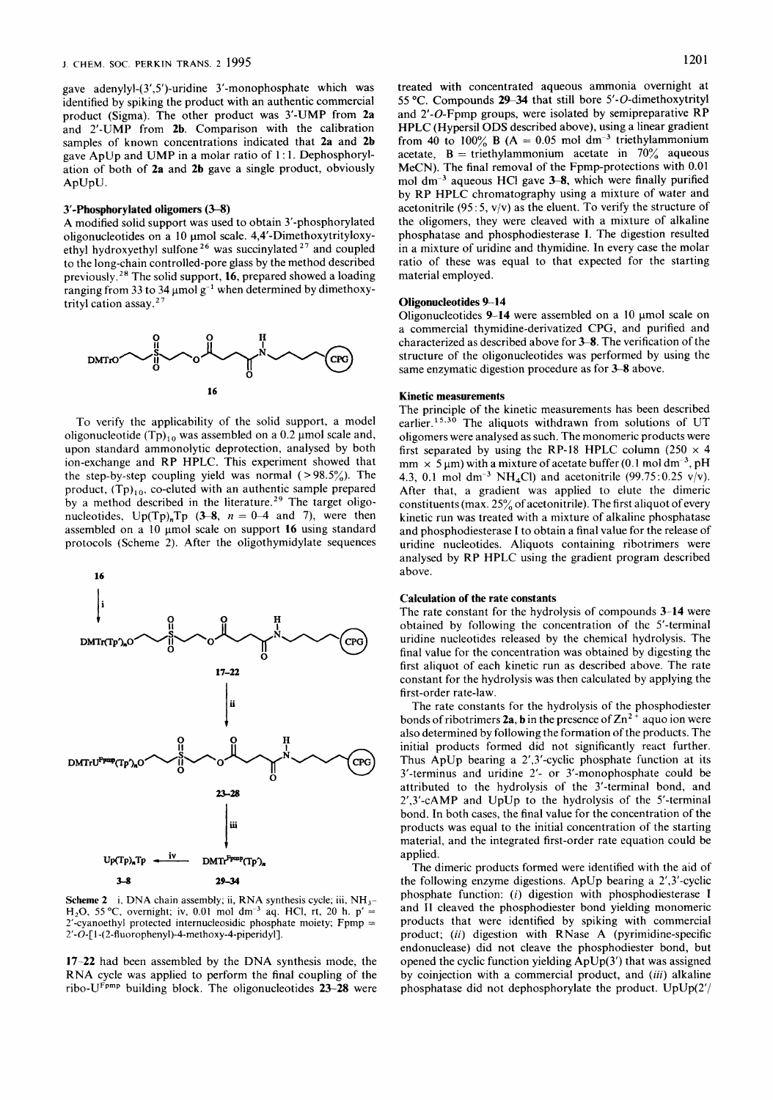gave **adenylyl-(3',5')-uridine** 3'-monophosphate which was identified by spiking the product with an authentic commercial product (Sigma). The other product was 3'-UMP from **2a**  and 2'-UMP from **2b.** Comparison with the calibration samples of known concentrations indicated that **2a** and **2b**  gave ApUp and UMP in a molar ratio of 1 : 1. Dephosphorylation of both of **2a** and **2b** gave a single product, obviously ApUpU.

#### **3'-Phosphorylated oligomers (3-8)**

A modified solid support was used to obtain 3'-phosphorylated oligonucleotides on a 10 µmol scale. 4,4'-Dimethoxytrityloxyethyl hydroxyethyl sulfone *26* was succinylated *27* and coupled to the long-chain controlled-pore glass by the method described previously.28 The solid support, **16,** prepared showed a loading ranging from 33 to 34  $\mu$ mol g<sup>-1</sup> when determined by dimethoxytrityl cation assay.27



To verify the applicability of the solid support, a model oligonucleotide  $(Tp)_{10}$  was assembled on a 0.2 µmol scale and, upon standard ammonolytic deprotection, analysed by both ion-exchange and RP HPLC. This experiment showed that the step-by-step coupling yield was normal  $( > 98.5\%)$ . The product,  $(Tp)_{10}$ , co-eluted with an authentic sample prepared by a method described in the literature.<sup>29</sup> The target oligonucleotides,  $Up(Tp)_nTp$  (3-8,  $n = 0-4$  and 7), were then assembled on a 10 µmol scale on support 16 using standard protocols (Scheme 2). After the oligothymidylate sequences



**Scheme 2** i, **DNA** chain assembly; ii, **RNA** synthesis cycle; iii, NH,- **H<sub>2</sub>O**, 55 °C, overnight; iv, 0.01 mol dm<sup>-3</sup> aq. HCl, rt, 20 h. p' = 2'-cyanoethyl protected internucleosidic phosphate moiety; **Fpmp** = 2'-0-[ **1** -( **2-fluorophenyl)-4-methoxy-4-piperidyl].** 

**17-22** had been assembled by the DNA synthesis mode, the RNA cycle was applied to perform the final coupling of the ribo-UFPmP building block. The oligonucleotides **23-28** were treated with concentrated aqueous ammonia overnight at 55 "C. Compounds **29-34** that still bore 5'-O-dimethoxytrityl and 2'-O-Fpmp groups, were isolated by semipreparative RP HPLC (Hypersil **ODS** described above), using a linear gradient from 40 to 100% **B**  $(A = 0.05 \text{ mol dm}^{-3}$  triethylammonium acetate,  $B =$  triethylammonium acetate in  $70\%$  aqueous MeCN). The final removal of the Fpmp-protections with 0.01 mol dm<sup>-3</sup> aqueous HCl gave 3-8, which were finally purified by RP HPLC chromatography using a mixture of water and acetonitrile (95:5,  $v/v$ ) as the eluent. To verify the structure of the oligomers, they were cleaved with a mixture of alkaline phosphatase and phosphodiesterase **I.** The digestion resulted in **a** mixture of uridine and thymidine. In every case the molar ratio of these was equal to that expected for the starting material employed.

#### **Oligonucleotides 9-14**

Oligonucleotides 9-14 were assembled on a 10 µmol scale on a commercial thymidine-derivatized CPG, and purified and characterized as described above for **3-8.** The verification of the structure of the oligonucleotides was performed by using the same enzymatic digestion procedure as for **3-8** above.

#### **Kinetic measurements**

The principle of the kinetic measurements has been described earlier.<sup>15,30</sup> The aliquots withdrawn from solutions of UT oligomers were analysed as such. The monomeric products were first separated by using the RP-18 HPLC column (250  $\times$  4 mm  $\times$  5  $\mu$ m) with a mixture of acetate buffer (0.1 mol dm<sup>-3</sup>, pH 4.3, 0.1 mol dm<sup>-3</sup> NH<sub>4</sub>Cl) and acetonitrile (99.75:0.25 v/v). After that, a gradient was applied to elute the dimeric constituents (max. 25% of acetonitrile). The first aliquot of every kinetic run was treated with a mixture of alkaline phosphatase and phosphodiesterase **I** to obtain a final value for the release of uridine nucleotides. Aliquots containing ribotrimers were analysed by RP HPLC using the gradient program described above.

#### **Calculation of the rate constants**

The rate constant for the hydrolysis of compounds **3-14** were obtained by following the concentration of the 5'-terminal uridine nucleotides released by the chemical hydrolysis. The final value for the concentration was obtained by digesting the first aliquot of each kinetic run as described above. The rate constant for the hydrolysis was then calculated by applying the first-order rate-law.

The rate constants for the hydrolysis of the phosphodiester bonds of ribotrimers 2a, b in the presence of  $Zn^{2+}$  aquo ion were also determined by following the formation of the products. The initial products formed did not significantly react further. Thus ApUp bearing a 2',3'-cyclic phosphate function at its 3'-terminus and uridine 2'- or 3'-monophosphate could be attributed to the hydrolysis of the 3'-terminal bond, and 2',3'-CAMP and UpUp to the hydrolysis of the 5'-terminal bond. In both cases, the final value for the concentration of the products was equal to the initial concentration of the starting material, and the integrated first-order rate equation could be applied.

The dimeric products formed were identified with the aid of the following enzyme digestions. ApUp bearing a 2',3'-cyclic phosphate function: *(i)* digestion with phosphodiesterase **I**  and **I1** cleaved the phosphodiester bond yielding monomeric products that were identified by spiking with commercial product; *(ii)* digestion with RNase A (pyrimidine-specific endonuclease) did not cleave the phosphodiester bond, but opened the cyclic function yielding ApUp(3') that was assigned by coinjection with a commercial product, and *(iii)* alkaline phosphatase did not dephosphorylate the product. UpUp(2'/